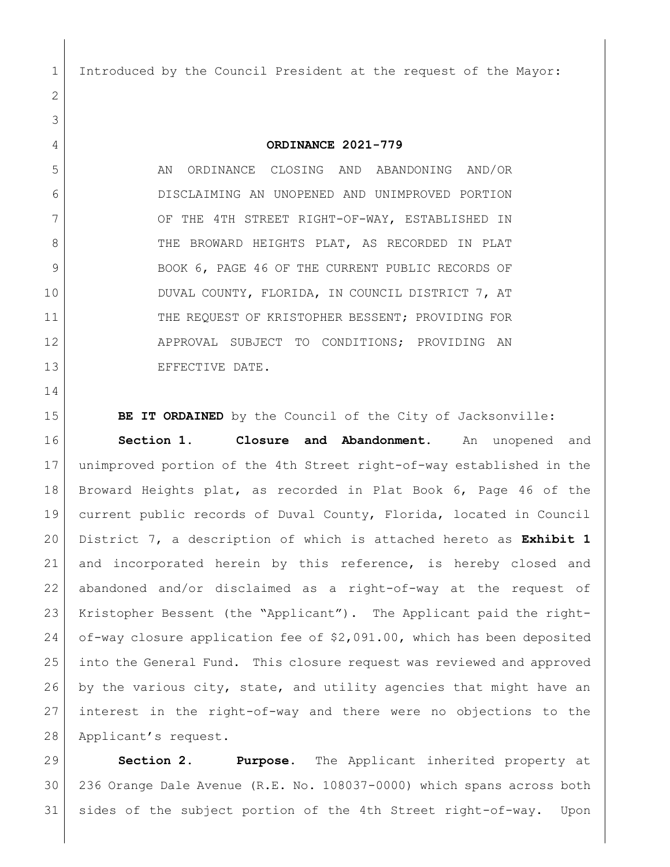Introduced by the Council President at the request of the Mayor:

## **ORDINANCE 2021-779**

5 AN ORDINANCE CLOSING AND ABANDONING AND/OR DISCLAIMING AN UNOPENED AND UNIMPROVED PORTION 7 OF THE 4TH STREET RIGHT-OF-WAY, ESTABLISHED IN 8 THE BROWARD HEIGHTS PLAT, AS RECORDED IN PLAT 9 | BOOK 6, PAGE 46 OF THE CURRENT PUBLIC RECORDS OF 10 DUVAL COUNTY, FLORIDA, IN COUNCIL DISTRICT 7, AT 11 THE REOUEST OF KRISTOPHER BESSENT; PROVIDING FOR 12 APPROVAL SUBJECT TO CONDITIONS; PROVIDING AN 13 EFFECTIVE DATE.

**BE IT ORDAINED** by the Council of the City of Jacksonville:

 **Section 1. Closure and Abandonment.** An unopened and unimproved portion of the 4th Street right-of-way established in the Broward Heights plat, as recorded in Plat Book 6, Page 46 of the current public records of Duval County, Florida, located in Council District 7, a description of which is attached hereto as **Exhibit 1** 21 and incorporated herein by this reference, is hereby closed and abandoned and/or disclaimed as a right-of-way at the request of Kristopher Bessent (the "Applicant"). The Applicant paid the right- of-way closure application fee of \$2,091.00, which has been deposited into the General Fund. This closure request was reviewed and approved 26 by the various city, state, and utility agencies that might have an interest in the right-of-way and there were no objections to the 28 Applicant's request.

 **Section 2. Purpose.** The Applicant inherited property at 236 Orange Dale Avenue (R.E. No. 108037-0000) which spans across both sides of the subject portion of the 4th Street right-of-way. Upon